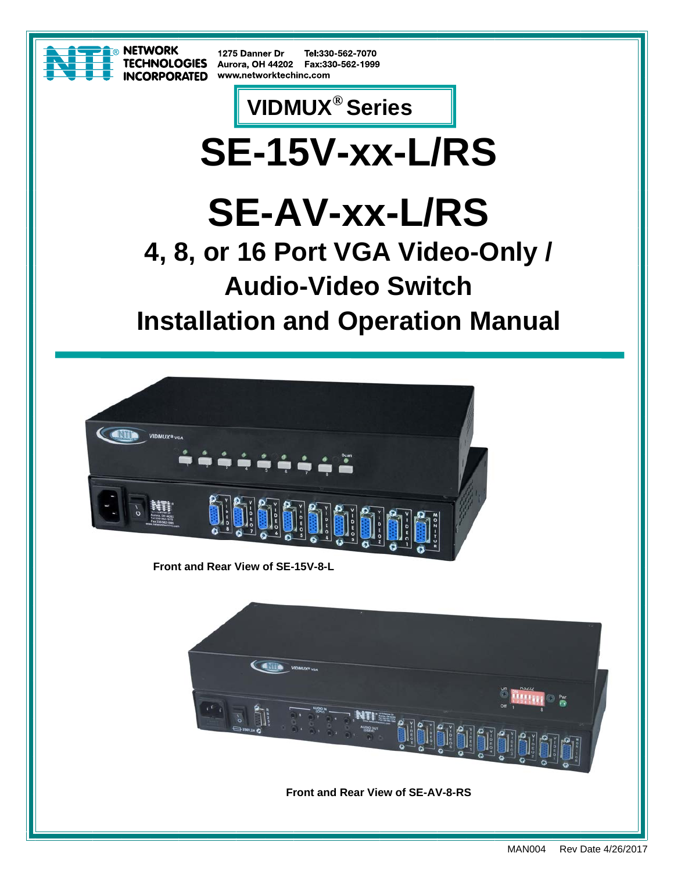

**NETWORK TECHNOLOGIES INCORPORATED** 

1275 Danner Dr Tel:330-562-7070 Aurora, OH 44202 Fax:330-562-1999 www.networktechinc.com

## **VIDMUX® Series**

## **SE-15V-xx-L/RS**

# **SE-AV-xx-L/RS**

**4, 8, or 16 Port VGA Video-Only / Audio-Video Switch** 

**Installation and Operation Manual** 



**Front and Rear View of SE-15V-8-L**

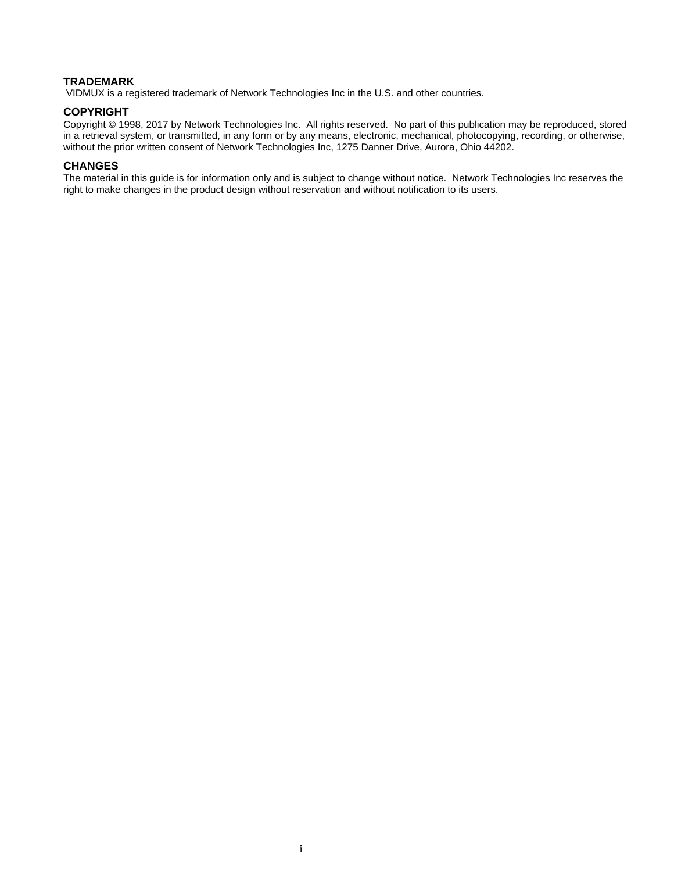#### **TRADEMARK**

VIDMUX is a registered trademark of Network Technologies Inc in the U.S. and other countries.

#### **COPYRIGHT**

Copyright © 1998, 2017 by Network Technologies Inc. All rights reserved. No part of this publication may be reproduced, stored in a retrieval system, or transmitted, in any form or by any means, electronic, mechanical, photocopying, recording, or otherwise, without the prior written consent of Network Technologies Inc, 1275 Danner Drive, Aurora, Ohio 44202.

#### **CHANGES**

The material in this guide is for information only and is subject to change without notice. Network Technologies Inc reserves the right to make changes in the product design without reservation and without notification to its users.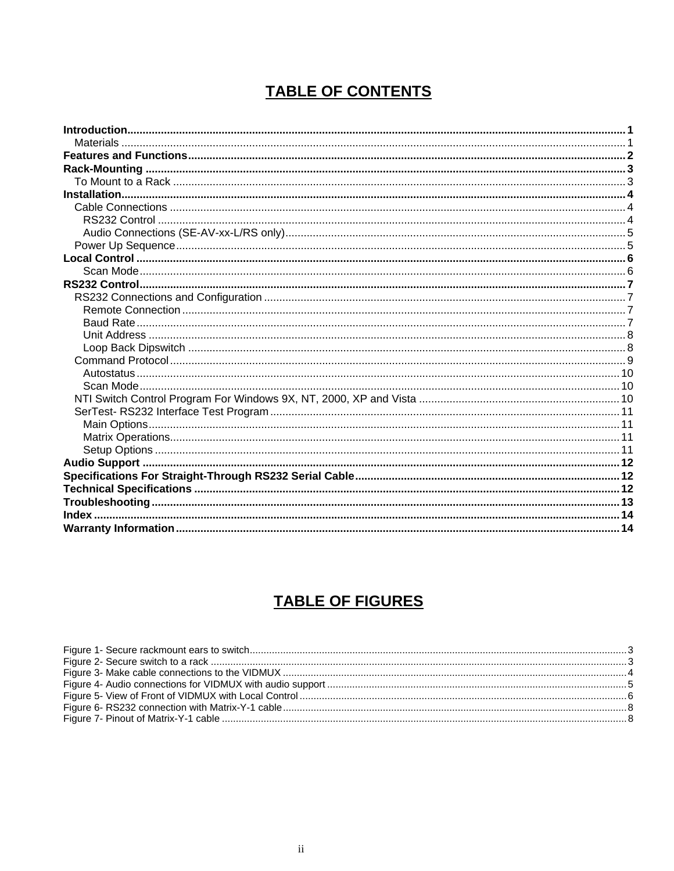## **TABLE OF CONTENTS**

## **TABLE OF FIGURES**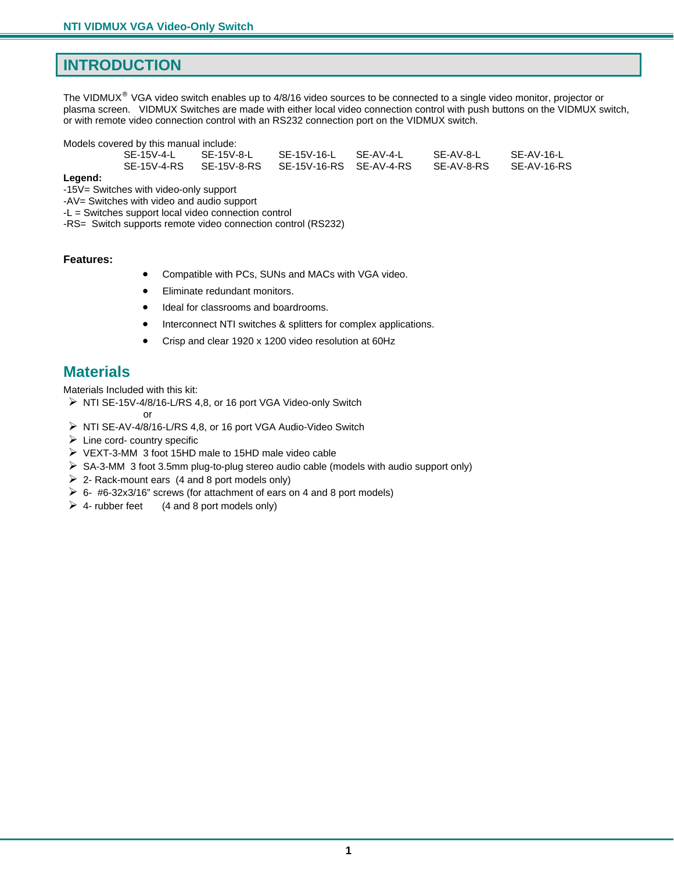## <span id="page-3-0"></span>**INTRODUCTION**

The VIDMUX<sup>®</sup> VGA video switch enables up to 4/8/16 video sources to be connected to a single video monitor, projector or plasma screen. VIDMUX Switches are made with either local video connection control with push buttons on the VIDMUX switch, or with remote video connection control with an RS232 connection port on the VIDMUX switch.

Models covered by this manual include:

| SE-AV-8-RS | SE-15V-4-L | SF-15V-8-L | SE-15V-16-L SE-AV-4-L | SE-AV-8-L | SE-AV-16-L  |
|------------|------------|------------|-----------------------|-----------|-------------|
|            |            |            |                       |           | SE-AV-16-RS |

**Legend:** 

-15V= Switches with video-only support

-AV= Switches with video and audio support

-L = Switches support local video connection control

-RS= Switch supports remote video connection control (RS232)

#### **Features:**

- Compatible with PCs, SUNs and MACs with VGA video.
- Eliminate redundant monitors.
- Ideal for classrooms and boardrooms.
- Interconnect NTI switches & splitters for complex applications.
- Crisp and clear 1920 x 1200 video resolution at 60Hz

## <span id="page-3-1"></span>**Materials**

Materials Included with this kit:

 $\triangleright$  NTI SE-15V-4/8/16-L/RS 4,8, or 16 port VGA Video-only Switch

**or** *or* 

- $\triangleright$  NTI SE-AV-4/8/16-L/RS 4,8, or 16 port VGA Audio-Video Switch
- $\triangleright$  Line cord- country specific
- VEXT-3-MM 3 foot 15HD male to 15HD male video cable
- $\triangleright$  SA-3-MM 3 foot 3.5mm plug-to-plug stereo audio cable (models with audio support only)
- $\geq$  2- Rack-mount ears (4 and 8 port models only)
- $\geq 6$  #6-32x3/16" screws (for attachment of ears on 4 and 8 port models)
- $\triangleright$  4- rubber feet (4 and 8 port models only)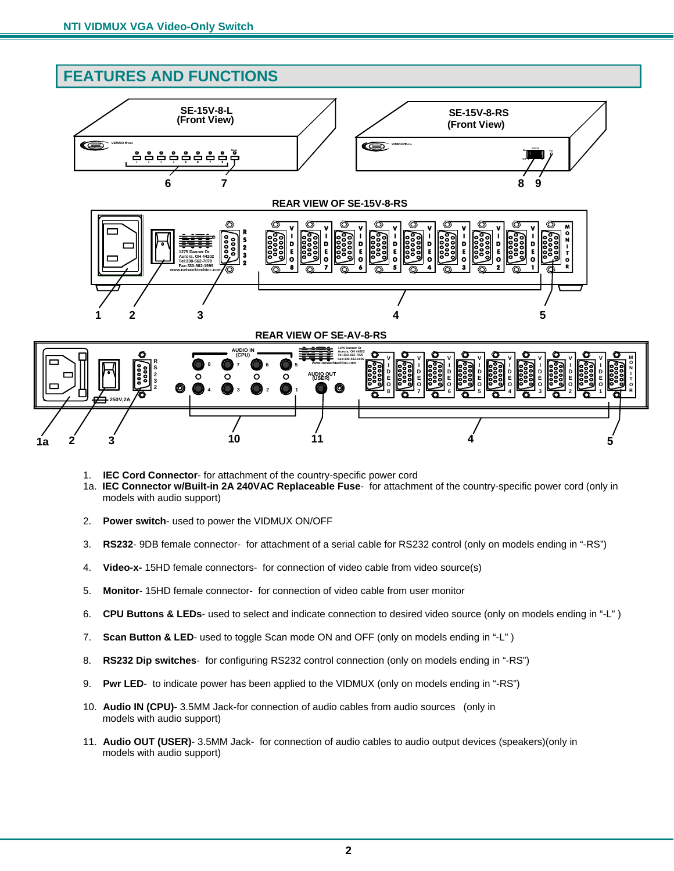## <span id="page-4-0"></span>**FEATURES AND FUNCTIONS**



- 1. **IEC Cord Connector** for attachment of the country-specific power cord
- 1a. **IEC Connector w/Built-in 2A 240VAC Replaceable Fuse** for attachment of the country-specific power cord (only in models with audio support)

**1a 2 3 10 11 4 5**

- 2. **Power switch** used to power the VIDMUX ON/OFF
- 3. **RS232** 9DB female connector- for attachment of a serial cable for RS232 control (only on models ending in "-RS")
- 4. **Video-x-** 15HD female connectors- for connection of video cable from video source(s)
- 5. **Monitor** 15HD female connector- for connection of video cable from user monitor
- 6. **CPU Buttons & LEDs** used to select and indicate connection to desired video source (only on models ending in "-L" )
- 7. **Scan Button & LED** used to toggle Scan mode ON and OFF (only on models ending in "-L" )
- 8. **RS232 Dip switches** for configuring RS232 control connection (only on models ending in "-RS")
- 9. **Pwr LED** to indicate power has been applied to the VIDMUX (only on models ending in "-RS")
- 10. **Audio IN (CPU)** 3.5MM Jack-for connection of audio cables from audio sources (only in models with audio support)
- 11. **Audio OUT (USER)** 3.5MM Jack- for connection of audio cables to audio output devices (speakers)(only in models with audio support)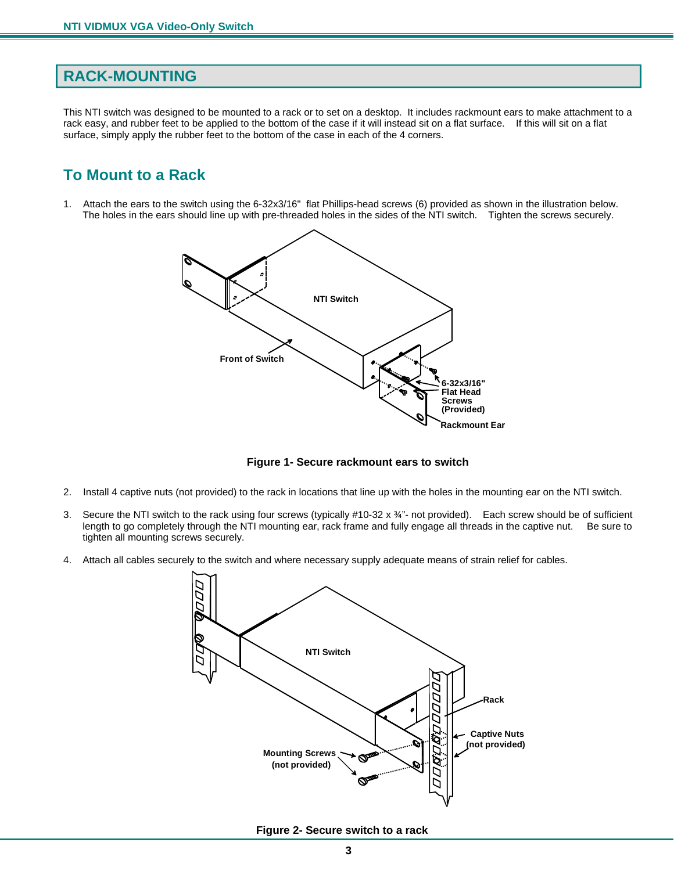#### <span id="page-5-0"></span>**RACK-MOUNTING**

This NTI switch was designed to be mounted to a rack or to set on a desktop. It includes rackmount ears to make attachment to a rack easy, and rubber feet to be applied to the bottom of the case if it will instead sit on a flat surface. If this will sit on a flat surface, simply apply the rubber feet to the bottom of the case in each of the 4 corners.

## <span id="page-5-1"></span>**To Mount to a Rack**

1. Attach the ears to the switch using the 6-32x3/16" flat Phillips-head screws (6) provided as shown in the illustration below. The holes in the ears should line up with pre-threaded holes in the sides of the NTI switch. Tighten the screws securely.



 **Figure 1- Secure rackmount ears to switch**

- <span id="page-5-2"></span>2. Install 4 captive nuts (not provided) to the rack in locations that line up with the holes in the mounting ear on the NTI switch.
- 3. Secure the NTI switch to the rack using four screws (typically #10-32 x ¾"- not provided). Each screw should be of sufficient length to go completely through the NTI mounting ear, rack frame and fully engage all threads in the captive nut. Be sure to tighten all mounting screws securely.
- 4. Attach all cables securely to the switch and where necessary supply adequate means of strain relief for cables.



<span id="page-5-3"></span> **Figure 2- Secure switch to a rack**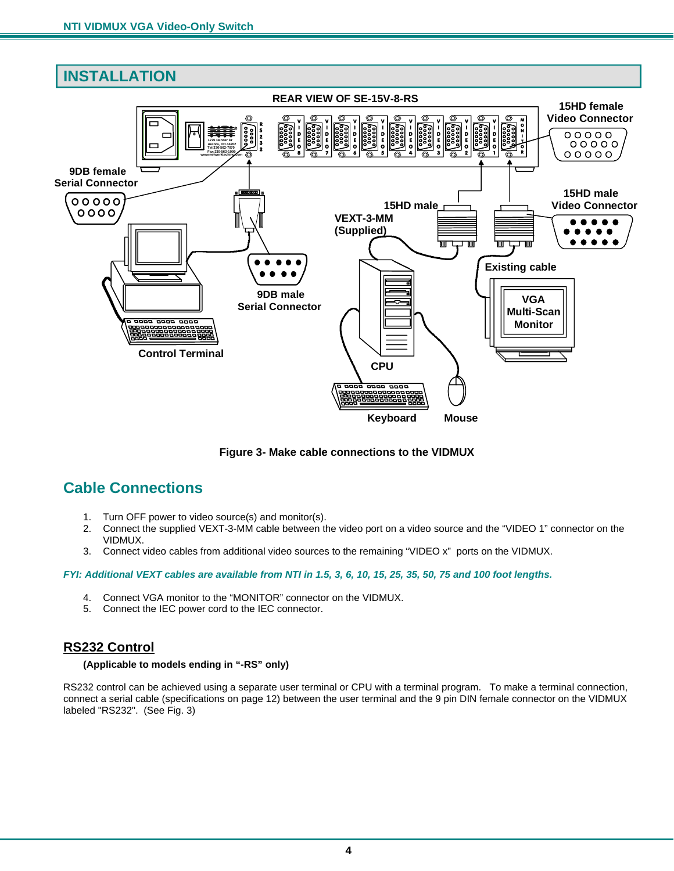<span id="page-6-0"></span>

 **Figure 3- Make cable connections to the VIDMUX**

## <span id="page-6-3"></span><span id="page-6-1"></span>**Cable Connections**

- 1. Turn OFF power to video source(s) and monitor(s).
- 2. Connect the supplied VEXT-3-MM cable between the video port on a video source and the "VIDEO 1" connector on the VIDMUX.
- 3. Connect video cables from additional video sources to the remaining "VIDEO x" ports on the VIDMUX.

#### *FYI: Additional VEXT cables are available from NTI in 1.5, 3, 6, 10, 15, 25, 35, 50, 75 and 100 foot lengths.*

- 4. Connect VGA monitor to the "MONITOR" connector on the VIDMUX.
- 5. Connect the IEC power cord to the IEC connector.

#### <span id="page-6-2"></span>**RS232 Control**

#### **(Applicable to models ending in "-RS" only)**

RS232 control can be achieved using a separate user terminal or CPU with a terminal program. To make a terminal connection, connect a serial cable (specifications on page 12) between the user terminal and the 9 pin DIN female connector on the VIDMUX labeled "RS232". (See Fig. 3)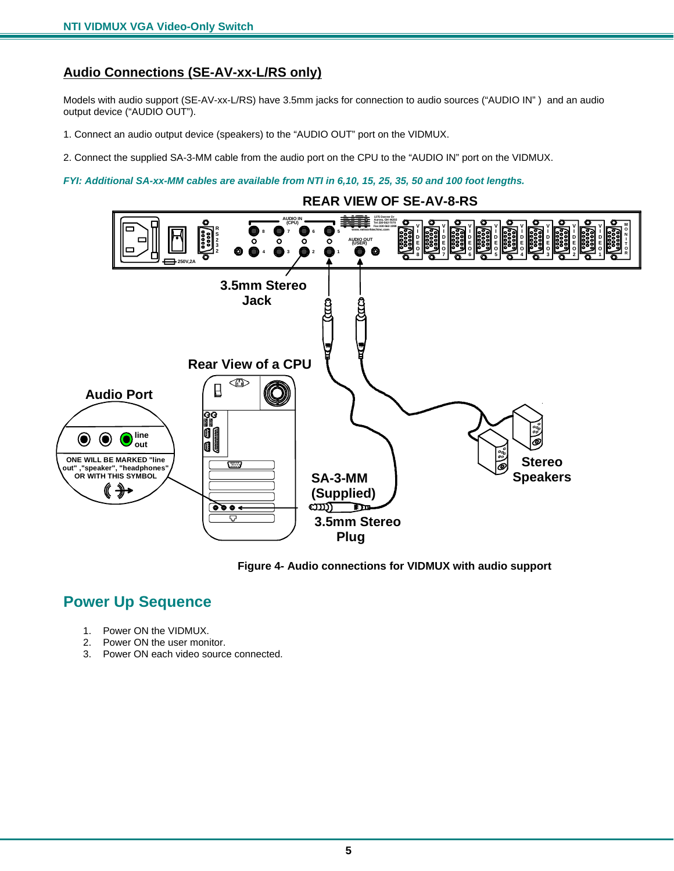#### <span id="page-7-0"></span>**Audio Connections (SE-AV-xx-L/RS only)**

Models with audio support (SE-AV-xx-L/RS) have 3.5mm jacks for connection to audio sources ("AUDIO IN" ) and an audio output device ("AUDIO OUT").

1. Connect an audio output device (speakers) to the "AUDIO OUT" port on the VIDMUX.

2. Connect the supplied SA-3-MM cable from the audio port on the CPU to the "AUDIO IN" port on the VIDMUX.

*FYI: Additional SA-xx-MM cables are available from NTI in 6,10, 15, 25, 35, 50 and 100 foot lengths.* 





## <span id="page-7-2"></span><span id="page-7-1"></span>**Power Up Sequence**

- 1. Power ON the VIDMUX.
- 2. Power ON the user monitor.
- 3. Power ON each video source connected.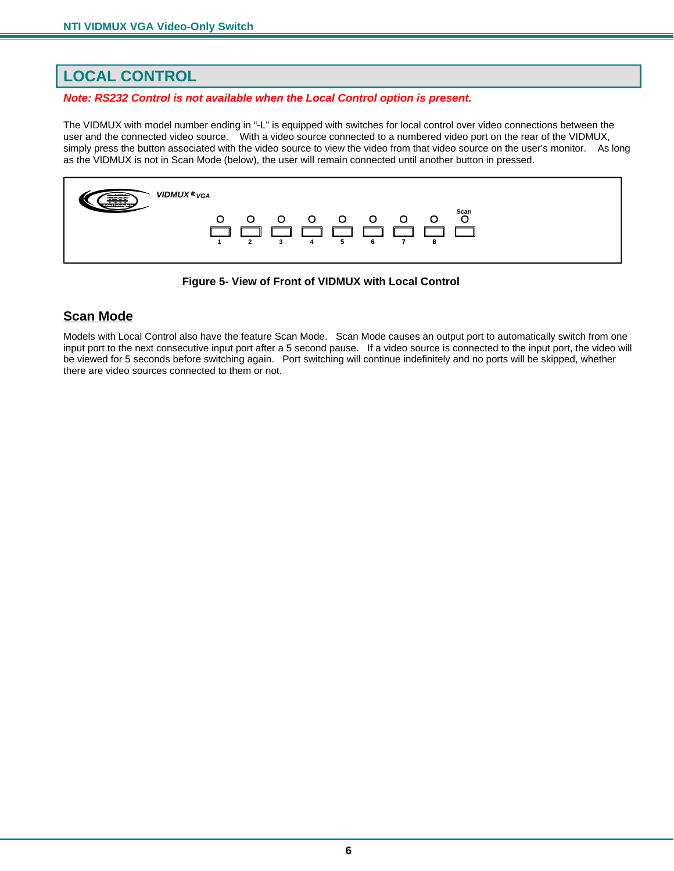## <span id="page-8-0"></span>**LOCAL CONTROL**

#### *Note: RS232 Control is not available when the Local Control option is present.*

The VIDMUX with model number ending in "-L" is equipped with switches for local control over video connections between the user and the connected video source. With a video source connected to a numbered video port on the rear of the VIDMUX, simply press the button associated with the video source to view the video from that video source on the user's monitor. As long as the VIDMUX is not in Scan Mode (below), the user will remain connected until another button in pressed.



**Figure 5- View of Front of VIDMUX with Local Control** 

#### <span id="page-8-2"></span><span id="page-8-1"></span>**Scan Mode**

Models with Local Control also have the feature Scan Mode. Scan Mode causes an output port to automatically switch from one input port to the next consecutive input port after a 5 second pause. If a video source is connected to the input port, the video will be viewed for 5 seconds before switching again. Port switching will continue indefinitely and no ports will be skipped, whether there are video sources connected to them or not.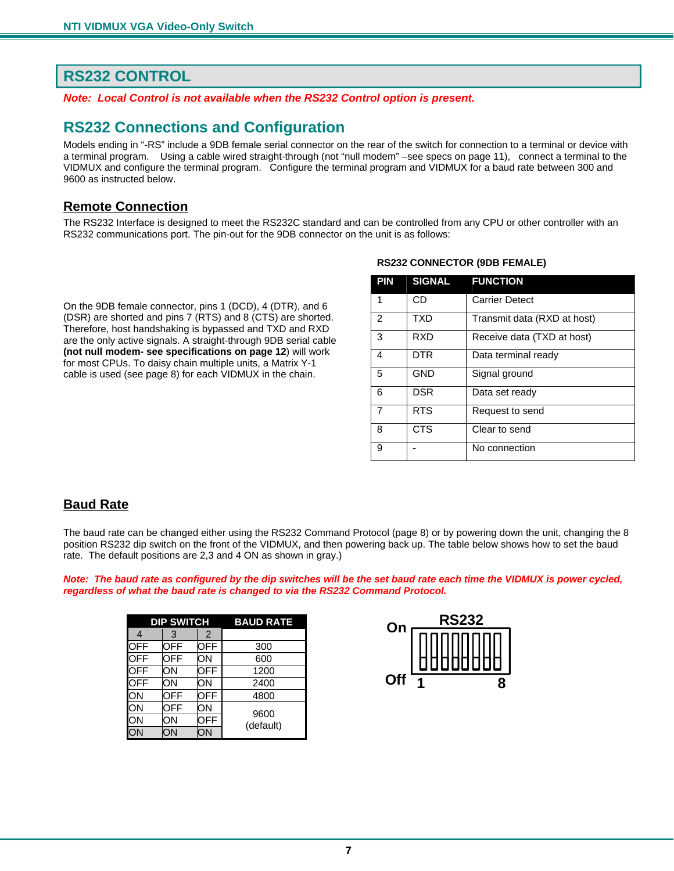## <span id="page-9-0"></span>**RS232 CONTROL**

*Note: Local Control is not available when the RS232 Control option is present.* 

## <span id="page-9-1"></span>**RS232 Connections and Configuration**

Models ending in "-RS" include a 9DB female serial connector on the rear of the switch for connection to a terminal or device with a terminal program. Using a cable wired straight-through (not "null modem" –see specs on page 11), connect a terminal to the VIDMUX and configure the terminal program. Configure the terminal program and VIDMUX for a baud rate between 300 and 9600 as instructed below.

#### <span id="page-9-2"></span>**Remote Connection**

The RS232 Interface is designed to meet the RS232C standard and can be controlled from any CPU or other controller with an RS232 communications port. The pin-out for the 9DB connector on the unit is as follows:

On the 9DB female connector, pins 1 (DCD), 4 (DTR), and 6 (DSR) are shorted and pins 7 (RTS) and 8 (CTS) are shorted. Therefore, host handshaking is bypassed and TXD and RXD are the only active signals. A straight-through 9DB serial cable **(not null modem- see specifications on page 12**) will work for most CPUs. To daisy chain multiple units, a Matrix Y-1 cable is used (see page 8) for each VIDMUX in the chain.

#### **RS232 CONNECTOR (9DB FEMALE)**

| <b>PIN</b>     | <b>SIGNAL</b> | <b>FUNCTION</b>             |
|----------------|---------------|-----------------------------|
| 1              | CD            | <b>Carrier Detect</b>       |
| 2              | <b>TXD</b>    | Transmit data (RXD at host) |
| 3              | RXD           | Receive data (TXD at host)  |
| 4              | DTR           | Data terminal ready         |
| 5              | <b>GND</b>    | Signal ground               |
| 6              | <b>DSR</b>    | Data set ready              |
| $\overline{7}$ | <b>RTS</b>    | Request to send             |
| 8              | <b>CTS</b>    | Clear to send               |
| 9              |               | No connection               |

#### <span id="page-9-3"></span>**Baud Rate**

The baud rate can be changed either using the RS232 Command Protocol (page 8) or by powering down the unit, changing the 8 position RS232 dip switch on the front of the VIDMUX, and then powering back up. The table below shows how to set the baud rate. The default positions are 2,3 and 4 ON as shown in gray.)

*Note: The baud rate as configured by the dip switches will be the set baud rate each time the VIDMUX is power cycled, regardless of what the baud rate is changed to via the RS232 Command Protocol.* 

| <b>DIP SWITCH</b> |     |     | <b>BAUD RATE</b> |
|-------------------|-----|-----|------------------|
| 4                 | 3   | 2   |                  |
| <b>OFF</b>        | OFF | OFF | 300              |
| OFF               | OFF | ΟN  | 600              |
| OFF               | OΝ  | OFF | 1200             |
| OFF               | ΟN  | ΟN  | 2400             |
| ON                | OFF | OFF | 4800             |
| ON                | OFF | OΝ  | 9600             |
| ON                | ОN  | OFF | (default)        |
|                   | ЭN  |     |                  |

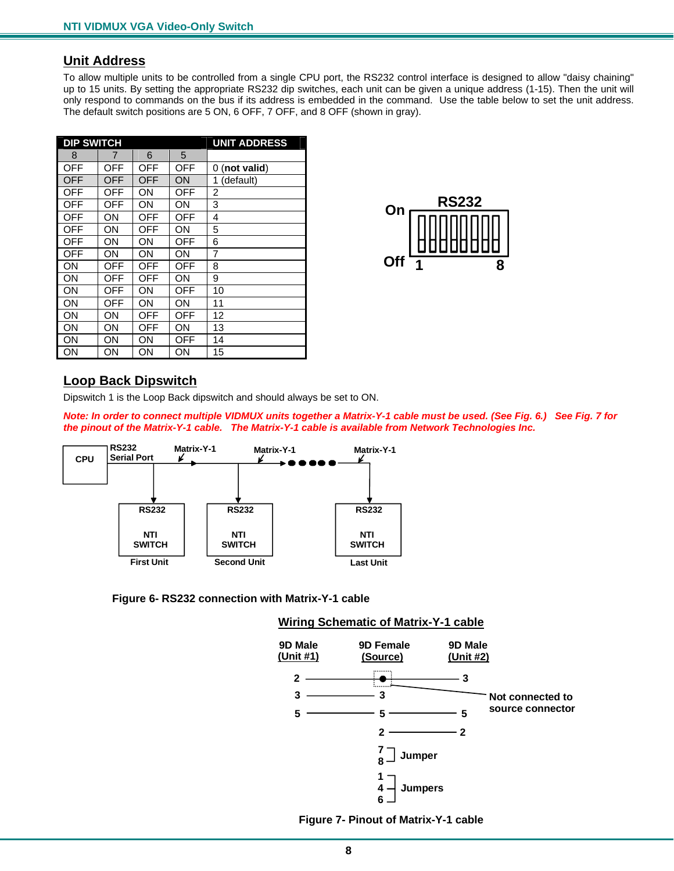#### <span id="page-10-0"></span>**Unit Address**

To allow multiple units to be controlled from a single CPU port, the RS232 control interface is designed to allow "daisy chaining" up to 15 units. By setting the appropriate RS232 dip switches, each unit can be given a unique address (1-15). Then the unit will only respond to commands on the bus if its address is embedded in the command. Use the table below to set the unit address. The default switch positions are 5 ON, 6 OFF, 7 OFF, and 8 OFF (shown in gray).

| <b>DIP SWITCH</b> |     |     |     | <b>UNIT ADDRESS</b> |
|-------------------|-----|-----|-----|---------------------|
| 8                 | 7   | 6   | 5   |                     |
| OFF               | OFF | OFF | OFF | $0$ (not valid)     |
| OFF               | OFF | OFF | ΟN  | (default)<br>1      |
| OFF               | OFF | OΝ  | OFF | 2                   |
| OFF               | OFF | ΟN  | ΟN  | 3                   |
| OFF               | ΟN  | OFF | OFF | 4                   |
| OFF               | ΟN  | OFF | ΟN  | 5                   |
| OFF               | ΟN  | ON  | OFF | 6                   |
| <b>OFF</b>        | ΟN  | ΟN  | ΟN  | 7                   |
| ΟN                | OFF | OFF | OFF | 8                   |
| ΟN                | OFF | OFF | ΟN  | 9                   |
| ΟN                | OFF | ON  | OFF | 10                  |
| ΟN                | OFF | ΟN  | ΟN  | 11                  |
| ΟN                | ΟN  | OFF | OFF | 12                  |
| ΟN                | ΟN  | OFF | ΟN  | 13                  |
| ΟN                | ΟN  | OΝ  | OFF | 14                  |
| ΟN                | ΟN  | ΟN  | ΟN  | 15                  |



#### <span id="page-10-1"></span>**Loop Back Dipswitch**

Dipswitch 1 is the Loop Back dipswitch and should always be set to ON.

*Note: In order to connect multiple VIDMUX units together a Matrix-Y-1 cable must be used. (See Fig. 6.) See Fig. 7 for the pinout of the Matrix-Y-1 cable. The Matrix-Y-1 cable is available from Network Technologies Inc.* 



<span id="page-10-3"></span><span id="page-10-2"></span> **Figure 6- RS232 connection with Matrix-Y-1 cable** 

#### **Wiring Schematic of Matrix-Y-1 cable**



 **Figure 7- Pinout of Matrix-Y-1 cable**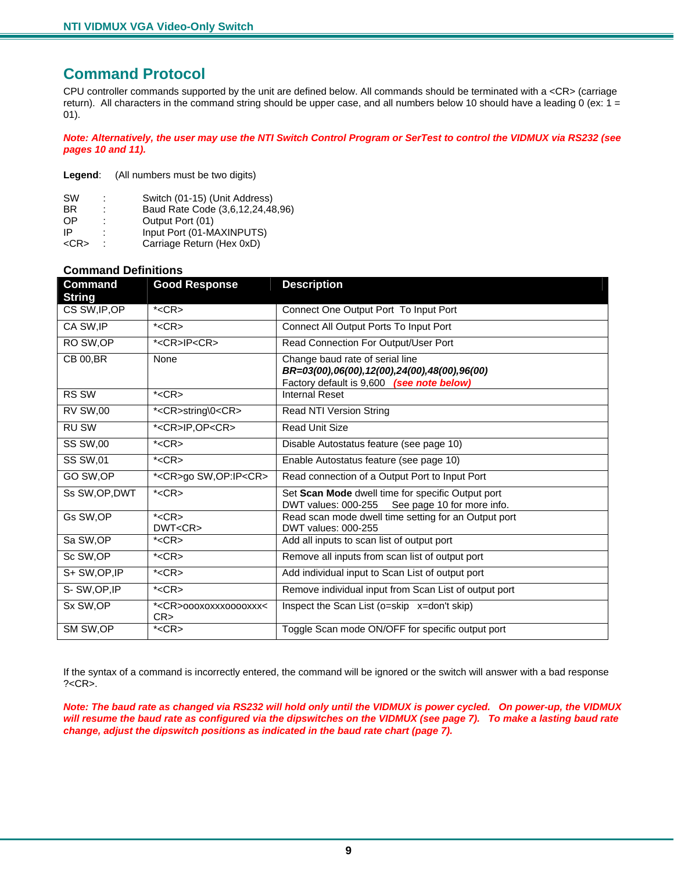## <span id="page-11-0"></span>**Command Protocol**

CPU controller commands supported by the unit are defined below. All commands should be terminated with a <CR> (carriage return). All characters in the command string should be upper case, and all numbers below 10 should have a leading 0 (ex:  $1 =$ 01).

*Note: Alternatively, the user may use the NTI Switch Control Program or SerTest to control the VIDMUX via RS232 (see pages 10 and 11).* 

**Legend**: (All numbers must be two digits)

| <b>SW</b>  |   | Switch (01-15) (Unit Address)    |
|------------|---|----------------------------------|
| BR         |   | Baud Rate Code (3,6,12,24,48,96) |
| <b>OP</b>  |   | Output Port (01)                 |
| IP         | ٠ | Input Port (01-MAXINPUTS)        |
| $<$ CR $>$ |   | Carriage Return (Hex 0xD)        |

#### **Command Definitions**

| <b>Command</b><br><b>String</b> | <b>Good Response</b>                  | <b>Description</b>                                                                                                           |  |
|---------------------------------|---------------------------------------|------------------------------------------------------------------------------------------------------------------------------|--|
| CS SW, IP, OP                   | $*<$ CR $>$                           | Connect One Output Port To Input Port                                                                                        |  |
| CA SW, IP                       | $*<$ CR $>$                           | Connect All Output Ports To Input Port                                                                                       |  |
| RO SW, OP                       | * <cr>IP<cr></cr></cr>                | Read Connection For Output/User Port                                                                                         |  |
| <b>CB 00, BR</b>                | None                                  | Change baud rate of serial line<br>BR=03(00),06(00),12(00),24(00),48(00),96(00)<br>Factory default is 9,600 (see note below) |  |
| RS SW                           | $*<$ CR $>$                           | <b>Internal Reset</b>                                                                                                        |  |
| <b>RV SW,00</b>                 | * <cr>string\0<cr></cr></cr>          | Read NTI Version String                                                                                                      |  |
| <b>RU SW</b>                    | * <cr>IP,OP<cr></cr></cr>             | <b>Read Unit Size</b>                                                                                                        |  |
| <b>SS SW,00</b>                 | $*<$ CR $>$                           | Disable Autostatus feature (see page 10)                                                                                     |  |
| <b>SS SW,01</b>                 | $*<$ CR $>$                           | Enable Autostatus feature (see page 10)                                                                                      |  |
| GO SW, OP                       | * <cr>go SW,OP:IP<cr></cr></cr>       | Read connection of a Output Port to Input Port                                                                               |  |
| Ss SW, OP, DWT                  | $*<$ CR $>$                           | Set Scan Mode dwell time for specific Output port<br>DWT values: 000-255<br>See page 10 for more info.                       |  |
| Gs SW, OP                       | $*<$ CR $>$<br>DWT <cr></cr>          | Read scan mode dwell time setting for an Output port<br>DWT values: 000-255                                                  |  |
| Sa SW, OP                       | $*<$ CR $>$                           | Add all inputs to scan list of output port                                                                                   |  |
| Sc SW, OP                       | $*<$ CR $>$                           | Remove all inputs from scan list of output port                                                                              |  |
| S+ SW, OP, IP                   | $*<$ CR $>$                           | Add individual input to Scan List of output port                                                                             |  |
| S-SW, OP, IP                    | $*<$ CR $>$                           | Remove individual input from Scan List of output port                                                                        |  |
| Sx SW, OP                       | * <cr>000X0XXX0000XXX&lt;<br/>CR</cr> | Inspect the Scan List (o=skip x=don't skip)                                                                                  |  |
| SM SW, OP                       | $*<$ CR $>$                           | Toggle Scan mode ON/OFF for specific output port                                                                             |  |

If the syntax of a command is incorrectly entered, the command will be ignored or the switch will answer with a bad response  $? < CR$ .

*Note: The baud rate as changed via RS232 will hold only until the VIDMUX is power cycled. On power-up, the VIDMUX*  will resume the baud rate as configured via the dipswitches on the VIDMUX (see page 7). To make a lasting baud rate *change, adjust the dipswitch positions as indicated in the baud rate chart (page 7).*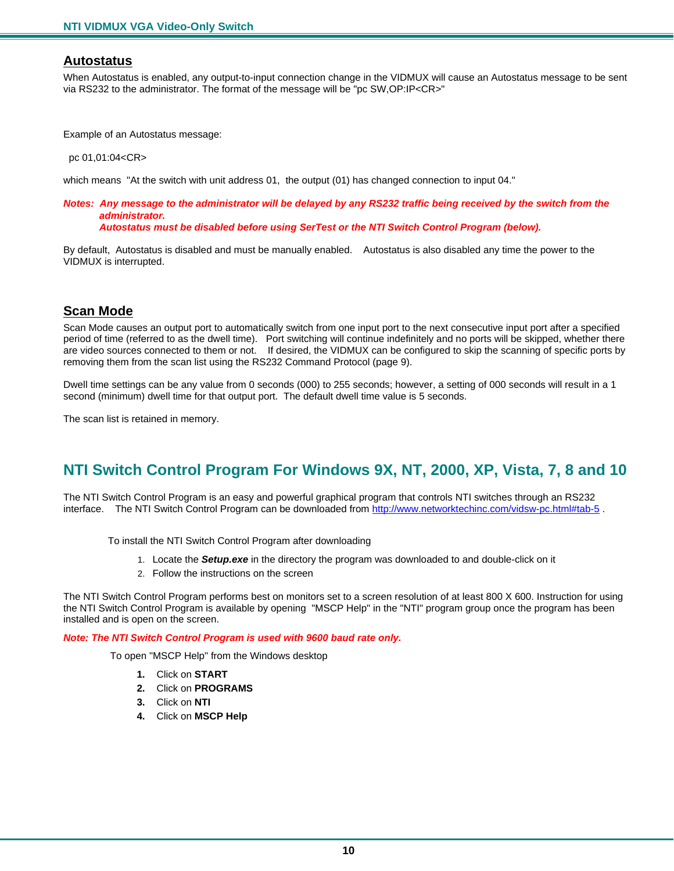#### <span id="page-12-0"></span>**Autostatus**

When Autostatus is enabled, any output-to-input connection change in the VIDMUX will cause an Autostatus message to be sent via RS232 to the administrator. The format of the message will be "pc SW,OP:IP<CR>"

Example of an Autostatus message:

pc 01,01:04<CR>

which means "At the switch with unit address 01, the output (01) has changed connection to input 04."

#### *Notes: Any message to the administrator will be delayed by any RS232 traffic being received by the switch from the administrator.*

 *Autostatus must be disabled before using SerTest or the NTI Switch Control Program (below).* 

By default, Autostatus is disabled and must be manually enabled. Autostatus is also disabled any time the power to the VIDMUX is interrupted.

#### <span id="page-12-1"></span>**Scan Mode**

Scan Mode causes an output port to automatically switch from one input port to the next consecutive input port after a specified period of time (referred to as the dwell time). Port switching will continue indefinitely and no ports will be skipped, whether there are video sources connected to them or not. If desired, the VIDMUX can be configured to skip the scanning of specific ports by removing them from the scan list using the RS232 Command Protocol (page 9).

Dwell time settings can be any value from 0 seconds (000) to 255 seconds; however, a setting of 000 seconds will result in a 1 second (minimum) dwell time for that output port. The default dwell time value is 5 seconds.

The scan list is retained in memory.

## <span id="page-12-2"></span>**NTI Switch Control Program For Windows 9X, NT, 2000, XP, Vista, 7, 8 and 10**

The NTI Switch Control Program is an easy and powerful graphical program that controls NTI switches through an RS232 interface. The NTI Switch Control Program can be downloaded from http://www.networktechinc.com/vidsw-pc.html#tab-5.

To install the NTI Switch Control Program after downloading

- 1. Locate the *Setup.exe* in the directory the program was downloaded to and double-click on it
- 2. Follow the instructions on the screen

The NTI Switch Control Program performs best on monitors set to a screen resolution of at least 800 X 600. Instruction for using the NTI Switch Control Program is available by opening "MSCP Help" in the "NTI" program group once the program has been installed and is open on the screen.

*Note: The NTI Switch Control Program is used with 9600 baud rate only.* 

To open "MSCP Help" from the Windows desktop

- **1.** Click on **START**
- **2.** Click on **PROGRAMS**
- **3.** Click on **NTI**
- **4.** Click on **MSCP Help**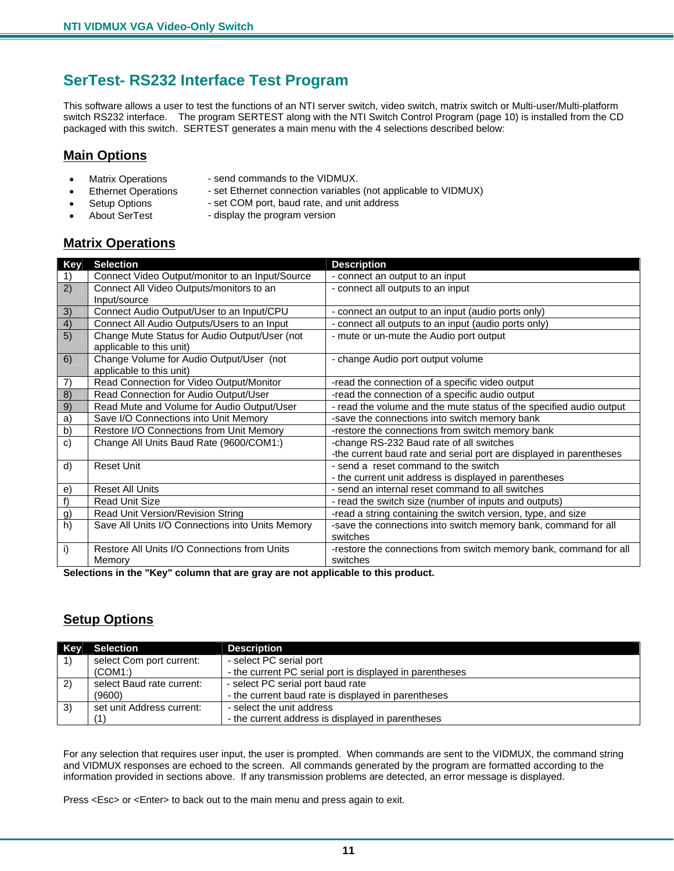## <span id="page-13-0"></span>**SerTest- RS232 Interface Test Program**

This software allows a user to test the functions of an NTI server switch, video switch, matrix switch or Multi-user/Multi-platform switch RS232 interface. The program SERTEST along with the NTI Switch Control Program (page 10) is installed from the CD packaged with this switch. SERTEST generates a main menu with the 4 selections described below:

#### <span id="page-13-1"></span>**Main Options**

- 
- Matrix Operations send commands to the VIDMUX.
- Ethernet Operations set Ethernet connection variables (not applicable to VIDMUX)
	- Setup Options set COM port, baud rate, and unit address
	-
- About SerTest display the program version
- **Matrix Operations**

<span id="page-13-2"></span>

| <b>Key</b>      | <b>Selection</b>                                 | <b>Description</b>                                                  |
|-----------------|--------------------------------------------------|---------------------------------------------------------------------|
| 1)              | Connect Video Output/monitor to an Input/Source  | - connect an output to an input                                     |
| 2)              | Connect All Video Outputs/monitors to an         | - connect all outputs to an input                                   |
|                 | Input/source                                     |                                                                     |
| 3)              | Connect Audio Output/User to an Input/CPU        | - connect an output to an input (audio ports only)                  |
| 4)              | Connect All Audio Outputs/Users to an Input      | - connect all outputs to an input (audio ports only)                |
| $\overline{5)}$ | Change Mute Status for Audio Output/User (not    | - mute or un-mute the Audio port output                             |
|                 | applicable to this unit)                         |                                                                     |
| 6)              | Change Volume for Audio Output/User (not         | - change Audio port output volume                                   |
|                 | applicable to this unit)                         |                                                                     |
| 7)              | Read Connection for Video Output/Monitor         | -read the connection of a specific video output                     |
| 8)              | Read Connection for Audio Output/User            | -read the connection of a specific audio output                     |
| 9)              | Read Mute and Volume for Audio Output/User       | - read the volume and the mute status of the specified audio output |
| a)              | Save I/O Connections into Unit Memory            | -save the connections into switch memory bank                       |
| b)              | Restore I/O Connections from Unit Memory         | -restore the connections from switch memory bank                    |
| $\mathbf{c}$    | Change All Units Baud Rate (9600/COM1:)          | -change RS-232 Baud rate of all switches                            |
|                 |                                                  | -the current baud rate and serial port are displayed in parentheses |
| d)              | <b>Reset Unit</b>                                | - send a reset command to the switch                                |
|                 |                                                  | - the current unit address is displayed in parentheses              |
| e)              | <b>Reset All Units</b>                           | - send an internal reset command to all switches                    |
| f)              | <b>Read Unit Size</b>                            | - read the switch size (number of inputs and outputs)               |
| g)              | Read Unit Version/Revision String                | -read a string containing the switch version, type, and size        |
| $\overline{h}$  | Save All Units I/O Connections into Units Memory | -save the connections into switch memory bank, command for all      |
|                 |                                                  | switches                                                            |
| i)              | Restore All Units I/O Connections from Units     | -restore the connections from switch memory bank, command for all   |
|                 | Memory                                           | switches                                                            |

**Selections in the "Key" column that are gray are not applicable to this product.** 

#### <span id="page-13-3"></span>**Setup Options**

| <b>Key</b> | Selection                 | <b>Description</b>                                       |  |
|------------|---------------------------|----------------------------------------------------------|--|
|            | select Com port current:  | - select PC serial port                                  |  |
|            | (COM1)                    | - the current PC serial port is displayed in parentheses |  |
| 2)         | select Baud rate current: | - select PC serial port baud rate                        |  |
|            | (9600)                    | - the current baud rate is displayed in parentheses      |  |
| 3)         | set unit Address current: | - select the unit address                                |  |
|            | (1)                       | - the current address is displayed in parentheses        |  |

For any selection that requires user input, the user is prompted. When commands are sent to the VIDMUX, the command string and VIDMUX responses are echoed to the screen. All commands generated by the program are formatted according to the information provided in sections above. If any transmission problems are detected, an error message is displayed.

Press <Esc> or <Enter> to back out to the main menu and press again to exit.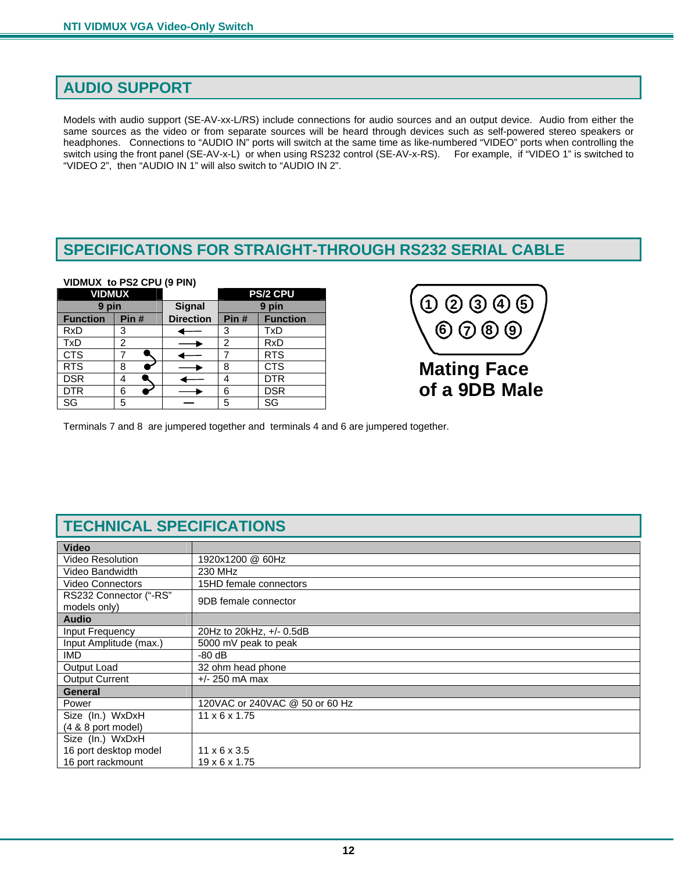## <span id="page-14-0"></span>**AUDIO SUPPORT**

Models with audio support (SE-AV-xx-L/RS) include connections for audio sources and an output device. Audio from either the same sources as the video or from separate sources will be heard through devices such as self-powered stereo speakers or headphones. Connections to "AUDIO IN" ports will switch at the same time as like-numbered "VIDEO" ports when controlling the switch using the front panel (SE-AV-x-L) or when using RS232 control (SE-AV-x-RS). For example, if "VIDEO 1" is switched to "VIDEO 2", then "AUDIO IN 1" will also switch to "AUDIO IN 2".

## <span id="page-14-1"></span>**SPECIFICATIONS FOR STRAIGHT-THROUGH RS232 SERIAL CABLE**

#### **VIDMUX to PS2 CPU (9 PIN)**

| <b>VIDMUX</b>   |      |                  |          | <b>PS/2 CPU</b> |
|-----------------|------|------------------|----------|-----------------|
| pin<br>9        |      | <b>Signal</b>    | pin<br>9 |                 |
| <b>Function</b> | Pin# | <b>Direction</b> | Pin#     | <b>Function</b> |
| <b>RxD</b>      | 3    |                  | 3        | <b>TxD</b>      |
| <b>TxD</b>      | 2    |                  | 2        | <b>RxD</b>      |
| <b>CTS</b>      |      |                  |          | <b>RTS</b>      |
| <b>RTS</b>      | 8    |                  | 8        | <b>CTS</b>      |
| <b>DSR</b>      | 4    |                  |          | <b>DTR</b>      |
| <b>DTR</b>      | 6    |                  | 6        | <b>DSR</b>      |
| SG              | 5    |                  | 5        | SG              |



Terminals 7 and 8 are jumpered together and terminals 4 and 6 are jumpered together.

## **TECHNICAL SPECIFICATIONS**

<span id="page-14-2"></span>

| <b>Video</b>                           |                                |  |
|----------------------------------------|--------------------------------|--|
| <b>Video Resolution</b>                | 1920x1200 @ 60Hz               |  |
| <b>Video Bandwidth</b>                 | 230 MHz                        |  |
| <b>Video Connectors</b>                | 15HD female connectors         |  |
| RS232 Connector ("-RS"<br>models only) | 9DB female connector           |  |
| <b>Audio</b>                           |                                |  |
| Input Frequency                        | 20Hz to 20kHz, +/- 0.5dB       |  |
| Input Amplitude (max.)                 | 5000 mV peak to peak           |  |
| <b>IMD</b>                             | $-80$ dB                       |  |
| Output Load                            | 32 ohm head phone              |  |
| <b>Output Current</b>                  | $+/- 250$ mA max               |  |
| <b>General</b>                         |                                |  |
| Power                                  | 120VAC or 240VAC @ 50 or 60 Hz |  |
| Size (In.) WxDxH                       | $11 \times 6 \times 1.75$      |  |
| $(4 & 8 & 8$ port model)               |                                |  |
| Size (In.) WxDxH                       |                                |  |
| 16 port desktop model                  | $11 \times 6 \times 3.5$       |  |
| 16 port rackmount                      | $19 \times 6 \times 1.75$      |  |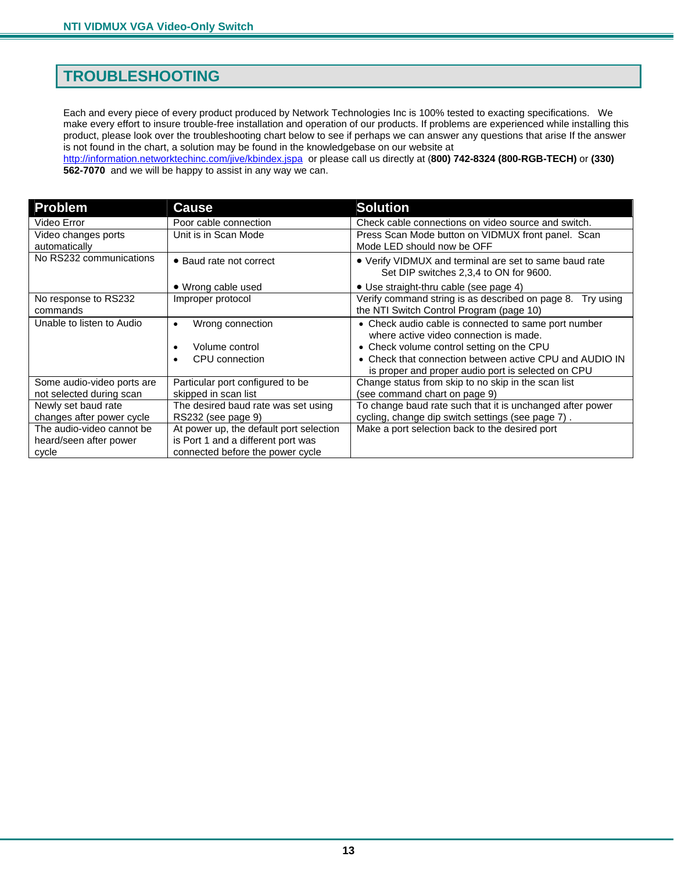## <span id="page-15-0"></span>**TROUBLESHOOTING**

Each and every piece of every product produced by Network Technologies Inc is 100% tested to exacting specifications. We make every effort to insure trouble-free installation and operation of our products. If problems are experienced while installing this product, please look over the troubleshooting chart below to see if perhaps we can answer any questions that arise If the answer is not found in the chart, a solution may be found in the knowledgebase on our website at <http://information.networktechinc.com/jive/kbindex.jspa> or please call us directly at (**800) 742-8324 (800-RGB-TECH)** or **(330)** 

**562-7070** and we will be happy to assist in any way we can.

| <b>Problem</b>                       | <b>Cause</b>                                              | <b>Solution</b>                                                                                                                                                                                                                                              |
|--------------------------------------|-----------------------------------------------------------|--------------------------------------------------------------------------------------------------------------------------------------------------------------------------------------------------------------------------------------------------------------|
| Video Error                          | Poor cable connection                                     | Check cable connections on video source and switch.                                                                                                                                                                                                          |
| Video changes ports<br>automatically | Unit is in Scan Mode                                      | Press Scan Mode button on VIDMUX front panel. Scan<br>Mode LED should now be OFF                                                                                                                                                                             |
| No RS232 communications              | • Baud rate not correct                                   | • Verify VIDMUX and terminal are set to same baud rate<br>Set DIP switches 2,3,4 to ON for 9600.                                                                                                                                                             |
|                                      | • Wrong cable used                                        | • Use straight-thru cable (see page 4)                                                                                                                                                                                                                       |
| No response to RS232<br>commands     | Improper protocol                                         | Verify command string is as described on page 8.<br>Try using<br>the NTI Switch Control Program (page 10)                                                                                                                                                    |
| Unable to listen to Audio            | Wrong connection<br>٠<br>Volume control<br>CPU connection | • Check audio cable is connected to same port number<br>where active video connection is made.<br>• Check volume control setting on the CPU<br>• Check that connection between active CPU and AUDIO IN<br>is proper and proper audio port is selected on CPU |
| Some audio-video ports are           | Particular port configured to be                          | Change status from skip to no skip in the scan list                                                                                                                                                                                                          |
| not selected during scan             | skipped in scan list                                      | (see command chart on page 9)                                                                                                                                                                                                                                |
| Newly set baud rate                  | The desired baud rate was set using                       | To change baud rate such that it is unchanged after power                                                                                                                                                                                                    |
| changes after power cycle            | RS232 (see page 9)                                        | cycling, change dip switch settings (see page 7).                                                                                                                                                                                                            |
| The audio-video cannot be            | At power up, the default port selection                   | Make a port selection back to the desired port                                                                                                                                                                                                               |
| heard/seen after power               | is Port 1 and a different port was                        |                                                                                                                                                                                                                                                              |
| cycle                                | connected before the power cycle                          |                                                                                                                                                                                                                                                              |